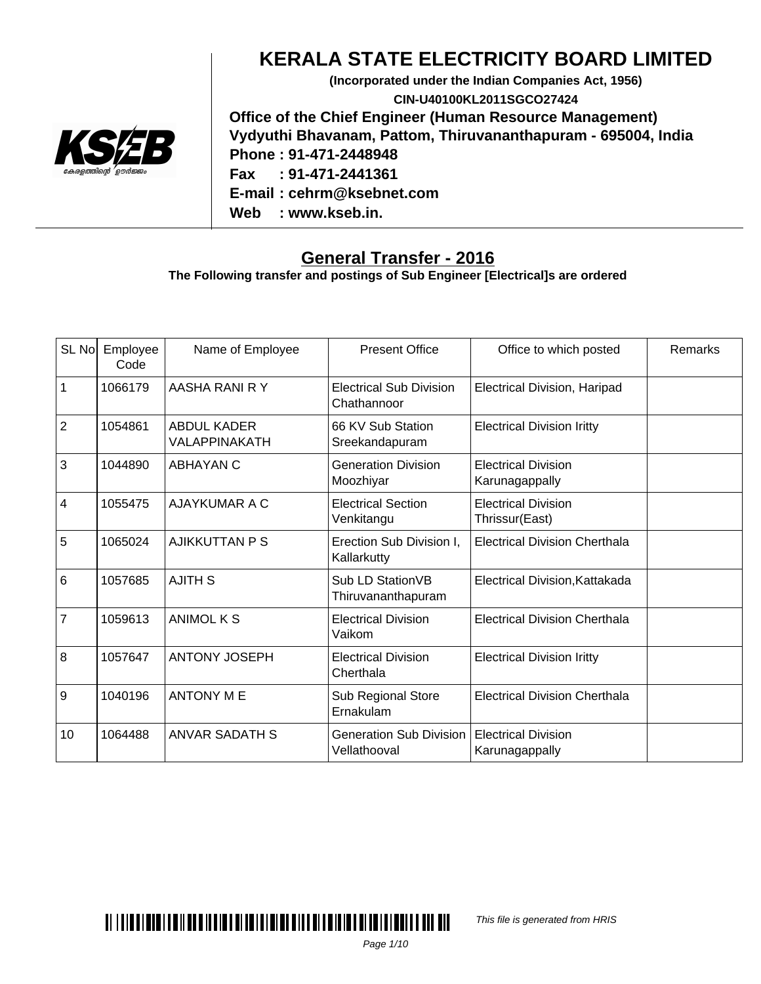

### **KERALA STATE ELECTRICITY BOARD LIMITED**

**(Incorporated under the Indian Companies Act, 1956) CIN-U40100KL2011SGCO27424 Office of the Chief Engineer (Human Resource Management) Vydyuthi Bhavanam, Pattom, Thiruvananthapuram - 695004, India Phone : 91-471-2448948 Fax : 91-471-2441361 E-mail : cehrm@ksebnet.com Web : www.kseb.in.**

#### **General Transfer - 2016**

**The Following transfer and postings of Sub Engineer [Electrical]s are ordered**

| SL No           | Employee<br>Code | Name of Employee                    | <b>Present Office</b>                          | Office to which posted                       | Remarks |
|-----------------|------------------|-------------------------------------|------------------------------------------------|----------------------------------------------|---------|
| $\mathbf{1}$    | 1066179          | AASHA RANI R Y                      | <b>Electrical Sub Division</b><br>Chathannoor  | <b>Electrical Division, Haripad</b>          |         |
| $\overline{2}$  | 1054861          | <b>ABDUL KADER</b><br>VALAPPINAKATH | 66 KV Sub Station<br>Sreekandapuram            | <b>Electrical Division Iritty</b>            |         |
| $\overline{3}$  | 1044890          | <b>ABHAYAN C</b>                    | <b>Generation Division</b><br>Moozhiyar        | <b>Electrical Division</b><br>Karunagappally |         |
| $\overline{4}$  | 1055475          | <b>AJAYKUMAR A C</b>                | <b>Electrical Section</b><br>Venkitangu        | <b>Electrical Division</b><br>Thrissur(East) |         |
| 5               | 1065024          | AJIKKUTTAN P S                      | Erection Sub Division I,<br>Kallarkutty        | <b>Electrical Division Cherthala</b>         |         |
| $6\phantom{1}6$ | 1057685          | <b>AJITH S</b>                      | Sub LD StationVB<br>Thiruvananthapuram         | Electrical Division, Kattakada               |         |
| $\overline{7}$  | 1059613          | <b>ANIMOL K S</b>                   | <b>Electrical Division</b><br>Vaikom           | <b>Electrical Division Cherthala</b>         |         |
| 8               | 1057647          | <b>ANTONY JOSEPH</b>                | <b>Electrical Division</b><br>Cherthala        | <b>Electrical Division Iritty</b>            |         |
| $\overline{9}$  | 1040196          | <b>ANTONY ME</b>                    | Sub Regional Store<br>Ernakulam                | <b>Electrical Division Cherthala</b>         |         |
| 10              | 1064488          | <b>ANVAR SADATH S</b>               | <b>Generation Sub Division</b><br>Vellathooval | <b>Electrical Division</b><br>Karunagappally |         |



This file is generated from HRIS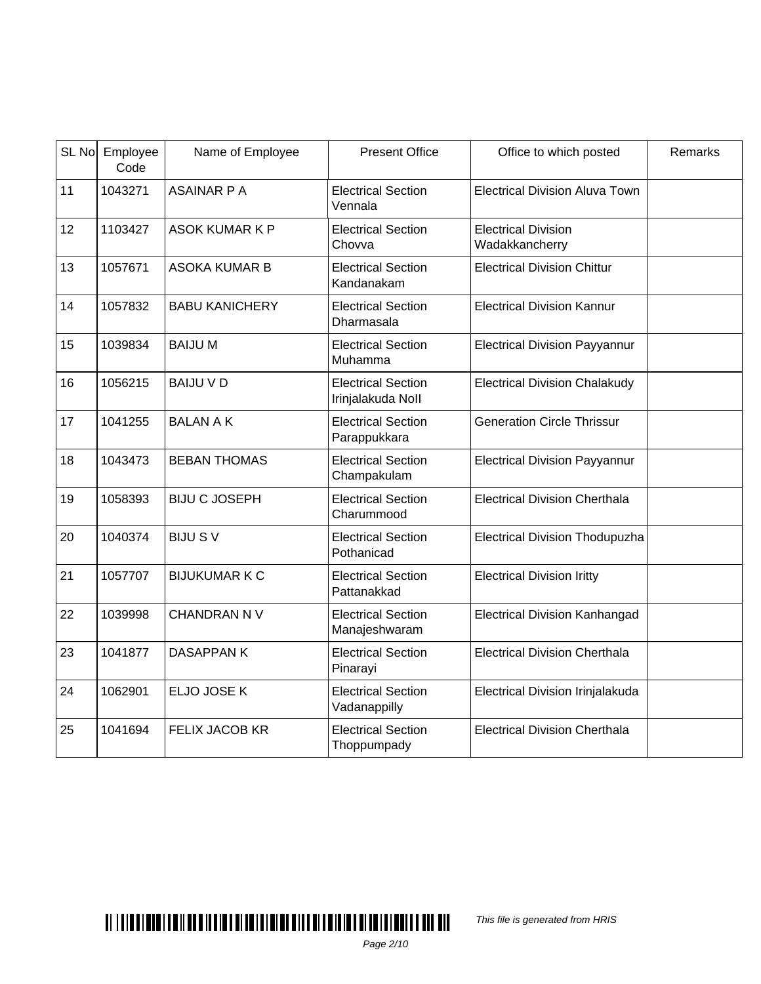|    | SL No Employee<br>Code | Name of Employee      | <b>Present Office</b>                          | Office to which posted                       | Remarks |
|----|------------------------|-----------------------|------------------------------------------------|----------------------------------------------|---------|
| 11 | 1043271                | <b>ASAINAR P A</b>    | <b>Electrical Section</b><br>Vennala           | <b>Electrical Division Aluva Town</b>        |         |
| 12 | 1103427                | <b>ASOK KUMAR K P</b> | <b>Electrical Section</b><br>Chovva            | <b>Electrical Division</b><br>Wadakkancherry |         |
| 13 | 1057671                | <b>ASOKA KUMAR B</b>  | <b>Electrical Section</b><br>Kandanakam        | <b>Electrical Division Chittur</b>           |         |
| 14 | 1057832                | <b>BABU KANICHERY</b> | <b>Electrical Section</b><br>Dharmasala        | <b>Electrical Division Kannur</b>            |         |
| 15 | 1039834                | <b>BAIJUM</b>         | <b>Electrical Section</b><br>Muhamma           | <b>Electrical Division Payyannur</b>         |         |
| 16 | 1056215                | <b>BAIJU V D</b>      | <b>Electrical Section</b><br>Irinjalakuda Noll | <b>Electrical Division Chalakudy</b>         |         |
| 17 | 1041255                | <b>BALAN A K</b>      | <b>Electrical Section</b><br>Parappukkara      | <b>Generation Circle Thrissur</b>            |         |
| 18 | 1043473                | <b>BEBAN THOMAS</b>   | <b>Electrical Section</b><br>Champakulam       | <b>Electrical Division Payyannur</b>         |         |
| 19 | 1058393                | <b>BIJU C JOSEPH</b>  | <b>Electrical Section</b><br>Charummood        | <b>Electrical Division Cherthala</b>         |         |
| 20 | 1040374                | <b>BIJU SV</b>        | <b>Electrical Section</b><br>Pothanicad        | <b>Electrical Division Thodupuzha</b>        |         |
| 21 | 1057707                | <b>BIJUKUMAR K C</b>  | <b>Electrical Section</b><br>Pattanakkad       | <b>Electrical Division Iritty</b>            |         |
| 22 | 1039998                | <b>CHANDRAN N V</b>   | <b>Electrical Section</b><br>Manajeshwaram     | <b>Electrical Division Kanhangad</b>         |         |
| 23 | 1041877                | <b>DASAPPANK</b>      | <b>Electrical Section</b><br>Pinarayi          | <b>Electrical Division Cherthala</b>         |         |
| 24 | 1062901                | ELJO JOSE K           | <b>Electrical Section</b><br>Vadanappilly      | Electrical Division Irinjalakuda             |         |
| 25 | 1041694                | <b>FELIX JACOB KR</b> | <b>Electrical Section</b><br>Thoppumpady       | <b>Electrical Division Cherthala</b>         |         |

#### Page 2/10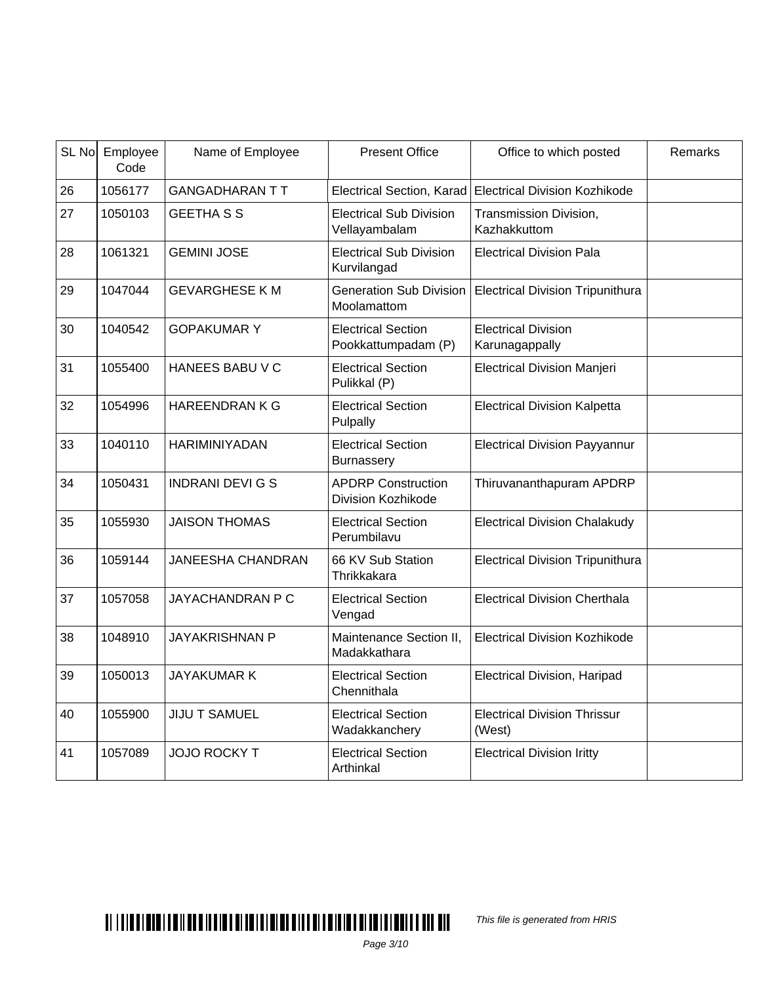| SL No | Employee<br>Code | Name of Employee         | <b>Present Office</b>                            | Office to which posted                                  | Remarks |
|-------|------------------|--------------------------|--------------------------------------------------|---------------------------------------------------------|---------|
| 26    | 1056177          | <b>GANGADHARAN TT</b>    |                                                  | Electrical Section, Karad Electrical Division Kozhikode |         |
| 27    | 1050103          | <b>GEETHA S S</b>        | <b>Electrical Sub Division</b><br>Vellayambalam  | Transmission Division,<br>Kazhakkuttom                  |         |
| 28    | 1061321          | <b>GEMINI JOSE</b>       | <b>Electrical Sub Division</b><br>Kurvilangad    | <b>Electrical Division Pala</b>                         |         |
| 29    | 1047044          | <b>GEVARGHESE KM</b>     | <b>Generation Sub Division</b><br>Moolamattom    | <b>Electrical Division Tripunithura</b>                 |         |
| 30    | 1040542          | <b>GOPAKUMARY</b>        | <b>Electrical Section</b><br>Pookkattumpadam (P) | <b>Electrical Division</b><br>Karunagappally            |         |
| 31    | 1055400          | <b>HANEES BABU V C</b>   | <b>Electrical Section</b><br>Pulikkal (P)        | <b>Electrical Division Manjeri</b>                      |         |
| 32    | 1054996          | <b>HAREENDRAN K G</b>    | <b>Electrical Section</b><br>Pulpally            | <b>Electrical Division Kalpetta</b>                     |         |
| 33    | 1040110          | <b>HARIMINIYADAN</b>     | <b>Electrical Section</b><br>Burnassery          | <b>Electrical Division Payyannur</b>                    |         |
| 34    | 1050431          | <b>INDRANI DEVIGS</b>    | <b>APDRP Construction</b><br>Division Kozhikode  | Thiruvananthapuram APDRP                                |         |
| 35    | 1055930          | <b>JAISON THOMAS</b>     | <b>Electrical Section</b><br>Perumbilavu         | <b>Electrical Division Chalakudy</b>                    |         |
| 36    | 1059144          | <b>JANEESHA CHANDRAN</b> | 66 KV Sub Station<br>Thrikkakara                 | <b>Electrical Division Tripunithura</b>                 |         |
| 37    | 1057058          | JAYACHANDRAN P C         | <b>Electrical Section</b><br>Vengad              | <b>Electrical Division Cherthala</b>                    |         |
| 38    | 1048910          | <b>JAYAKRISHNAN P</b>    | Maintenance Section II,<br>Madakkathara          | <b>Electrical Division Kozhikode</b>                    |         |
| 39    | 1050013          | <b>JAYAKUMAR K</b>       | <b>Electrical Section</b><br>Chennithala         | Electrical Division, Haripad                            |         |
| 40    | 1055900          | <b>JIJU T SAMUEL</b>     | <b>Electrical Section</b><br>Wadakkanchery       | <b>Electrical Division Thrissur</b><br>(West)           |         |
| 41    | 1057089          | <b>JOJO ROCKY T</b>      | <b>Electrical Section</b><br>Arthinkal           | <b>Electrical Division Iritty</b>                       |         |

This file is generated from HRIS

Page 3/10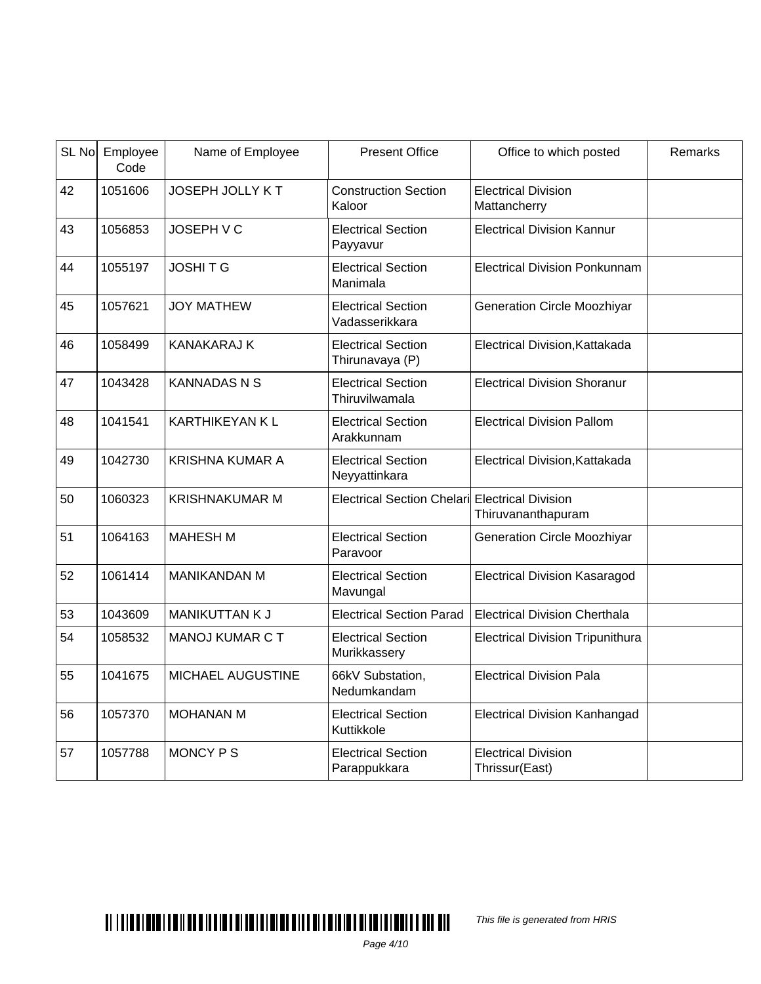| SL No | Employee<br>Code | Name of Employee       | <b>Present Office</b>                          | Office to which posted                       | Remarks |
|-------|------------------|------------------------|------------------------------------------------|----------------------------------------------|---------|
| 42    | 1051606          | <b>JOSEPH JOLLY KT</b> | <b>Construction Section</b><br>Kaloor          | <b>Electrical Division</b><br>Mattancherry   |         |
| 43    | 1056853          | <b>JOSEPH V C</b>      | <b>Electrical Section</b><br>Payyavur          | <b>Electrical Division Kannur</b>            |         |
| 44    | 1055197          | <b>JOSHITG</b>         | <b>Electrical Section</b><br>Manimala          | <b>Electrical Division Ponkunnam</b>         |         |
| 45    | 1057621          | <b>JOY MATHEW</b>      | <b>Electrical Section</b><br>Vadasserikkara    | <b>Generation Circle Moozhiyar</b>           |         |
| 46    | 1058499          | <b>KANAKARAJ K</b>     | <b>Electrical Section</b><br>Thirunavaya (P)   | Electrical Division, Kattakada               |         |
| 47    | 1043428          | <b>KANNADASNS</b>      | <b>Electrical Section</b><br>Thiruvilwamala    | <b>Electrical Division Shoranur</b>          |         |
| 48    | 1041541          | <b>KARTHIKEYAN KL</b>  | <b>Electrical Section</b><br>Arakkunnam        | <b>Electrical Division Pallom</b>            |         |
| 49    | 1042730          | <b>KRISHNA KUMAR A</b> | <b>Electrical Section</b><br>Neyyattinkara     | Electrical Division, Kattakada               |         |
| 50    | 1060323          | <b>KRISHNAKUMAR M</b>  | Electrical Section Chelari Electrical Division | Thiruvananthapuram                           |         |
| 51    | 1064163          | <b>MAHESH M</b>        | <b>Electrical Section</b><br>Paravoor          | <b>Generation Circle Moozhiyar</b>           |         |
| 52    | 1061414          | <b>MANIKANDAN M</b>    | <b>Electrical Section</b><br>Mavungal          | <b>Electrical Division Kasaragod</b>         |         |
| 53    | 1043609          | MANIKUTTAN K J         | <b>Electrical Section Parad</b>                | <b>Electrical Division Cherthala</b>         |         |
| 54    | 1058532          | <b>MANOJ KUMAR C T</b> | <b>Electrical Section</b><br>Murikkassery      | <b>Electrical Division Tripunithura</b>      |         |
| 55    | 1041675          | MICHAEL AUGUSTINE      | 66kV Substation,<br>Nedumkandam                | <b>Electrical Division Pala</b>              |         |
| 56    | 1057370          | <b>MOHANAN M</b>       | <b>Electrical Section</b><br>Kuttikkole        | <b>Electrical Division Kanhangad</b>         |         |
| 57    | 1057788          | <b>MONCY PS</b>        | <b>Electrical Section</b><br>Parappukkara      | <b>Electrical Division</b><br>Thrissur(East) |         |

# $\blacksquare$

This file is generated from HRIS

Page 4/10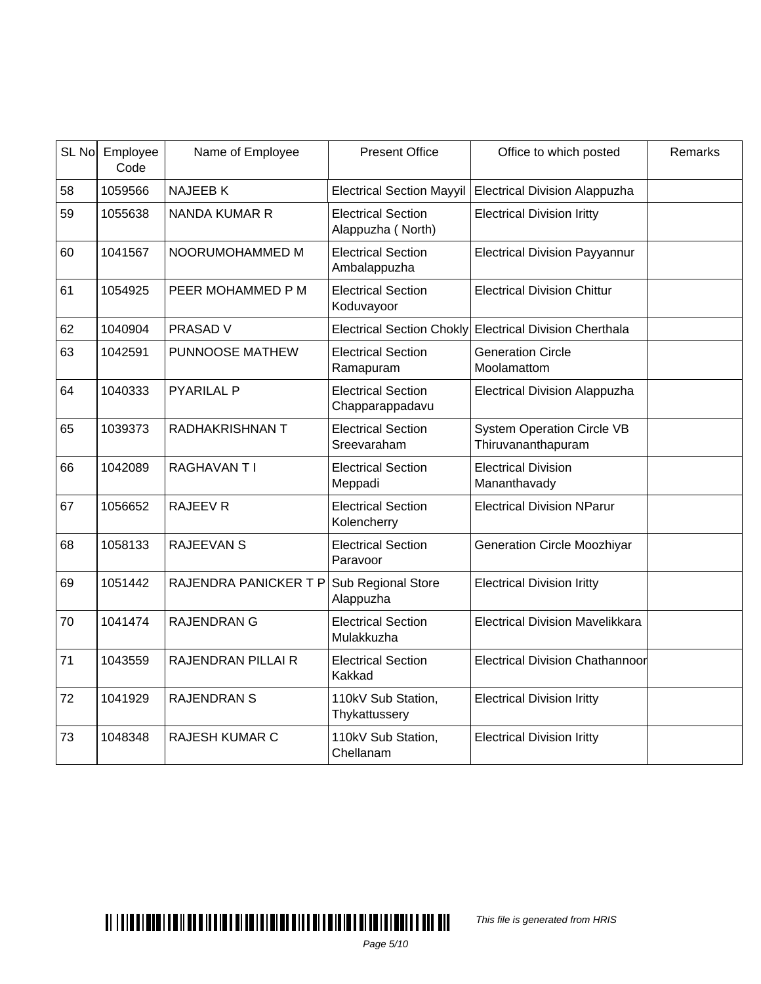| SL No | Employee<br>Code | Name of Employee       | <b>Present Office</b>                          | Office to which posted                                  | Remarks |
|-------|------------------|------------------------|------------------------------------------------|---------------------------------------------------------|---------|
| 58    | 1059566          | <b>NAJEEBK</b>         | <b>Electrical Section Mayyil</b>               | <b>Electrical Division Alappuzha</b>                    |         |
| 59    | 1055638          | <b>NANDA KUMAR R</b>   | <b>Electrical Section</b><br>Alappuzha (North) | <b>Electrical Division Iritty</b>                       |         |
| 60    | 1041567          | NOORUMOHAMMED M        | <b>Electrical Section</b><br>Ambalappuzha      | <b>Electrical Division Payyannur</b>                    |         |
| 61    | 1054925          | PEER MOHAMMED P M      | <b>Electrical Section</b><br>Koduvayoor        | <b>Electrical Division Chittur</b>                      |         |
| 62    | 1040904          | <b>PRASAD V</b>        | Electrical Section Chokly                      | <b>Electrical Division Cherthala</b>                    |         |
| 63    | 1042591          | PUNNOOSE MATHEW        | <b>Electrical Section</b><br>Ramapuram         | <b>Generation Circle</b><br>Moolamattom                 |         |
| 64    | 1040333          | <b>PYARILAL P</b>      | <b>Electrical Section</b><br>Chapparappadavu   | <b>Electrical Division Alappuzha</b>                    |         |
| 65    | 1039373          | <b>RADHAKRISHNAN T</b> | <b>Electrical Section</b><br>Sreevaraham       | <b>System Operation Circle VB</b><br>Thiruvananthapuram |         |
| 66    | 1042089          | <b>RAGHAVANTI</b>      | <b>Electrical Section</b><br>Meppadi           | <b>Electrical Division</b><br>Mananthavady              |         |
| 67    | 1056652          | <b>RAJEEV R</b>        | <b>Electrical Section</b><br>Kolencherry       | <b>Electrical Division NParur</b>                       |         |
| 68    | 1058133          | <b>RAJEEVAN S</b>      | <b>Electrical Section</b><br>Paravoor          | <b>Generation Circle Moozhiyar</b>                      |         |
| 69    | 1051442          | RAJENDRA PANICKER T P  | Sub Regional Store<br>Alappuzha                | <b>Electrical Division Iritty</b>                       |         |
| 70    | 1041474          | <b>RAJENDRAN G</b>     | <b>Electrical Section</b><br>Mulakkuzha        | <b>Electrical Division Mavelikkara</b>                  |         |
| 71    | 1043559          | RAJENDRAN PILLAI R     | <b>Electrical Section</b><br>Kakkad            | <b>Electrical Division Chathannoor</b>                  |         |
| 72    | 1041929          | <b>RAJENDRAN S</b>     | 110kV Sub Station,<br>Thykattussery            | <b>Electrical Division Iritty</b>                       |         |
| 73    | 1048348          | <b>RAJESH KUMAR C</b>  | 110kV Sub Station,<br>Chellanam                | <b>Electrical Division Iritty</b>                       |         |

This file is generated from HRIS

Page 5/10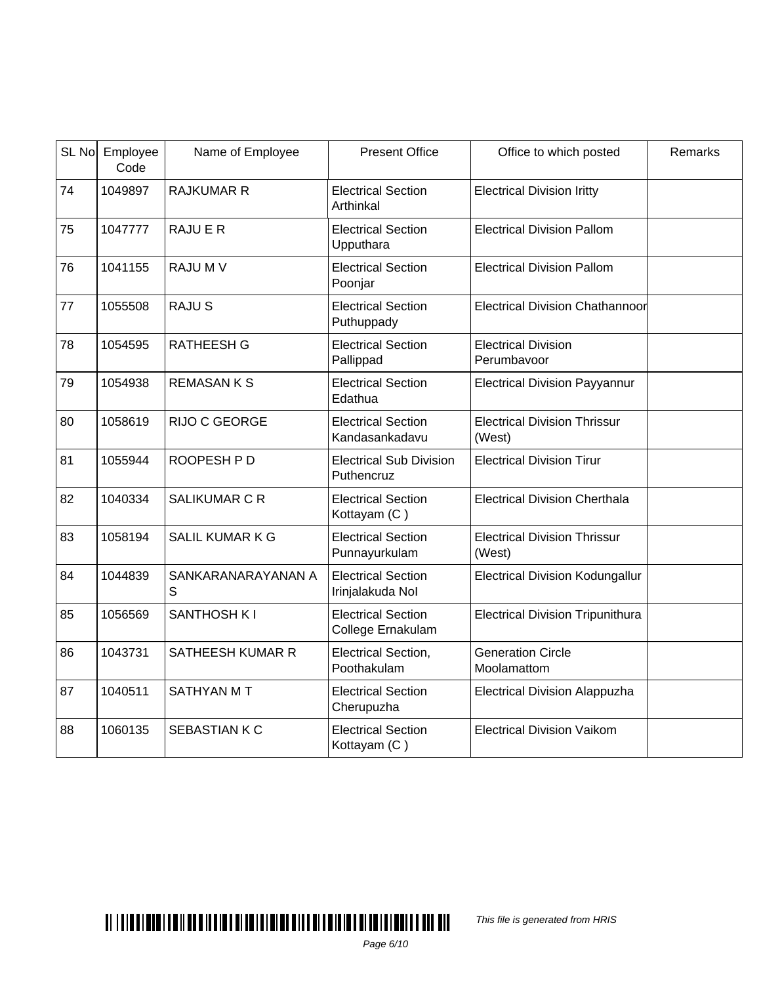| SL No | Employee<br>Code | Name of Employee        | <b>Present Office</b>                          | Office to which posted                        | Remarks |
|-------|------------------|-------------------------|------------------------------------------------|-----------------------------------------------|---------|
| 74    | 1049897          | <b>RAJKUMAR R</b>       | <b>Electrical Section</b><br>Arthinkal         | <b>Electrical Division Iritty</b>             |         |
| 75    | 1047777          | <b>RAJUER</b>           | <b>Electrical Section</b><br>Upputhara         | <b>Electrical Division Pallom</b>             |         |
| 76    | 1041155          | RAJU M V                | <b>Electrical Section</b><br>Poonjar           | <b>Electrical Division Pallom</b>             |         |
| 77    | 1055508          | <b>RAJUS</b>            | <b>Electrical Section</b><br>Puthuppady        | Electrical Division Chathannoor               |         |
| 78    | 1054595          | <b>RATHEESH G</b>       | <b>Electrical Section</b><br>Pallippad         | <b>Electrical Division</b><br>Perumbavoor     |         |
| 79    | 1054938          | <b>REMASANKS</b>        | <b>Electrical Section</b><br>Edathua           | <b>Electrical Division Payyannur</b>          |         |
| 80    | 1058619          | RIJO C GEORGE           | <b>Electrical Section</b><br>Kandasankadavu    | <b>Electrical Division Thrissur</b><br>(West) |         |
| 81    | 1055944          | ROOPESH P D             | <b>Electrical Sub Division</b><br>Puthencruz   | <b>Electrical Division Tirur</b>              |         |
| 82    | 1040334          | <b>SALIKUMAR C R</b>    | <b>Electrical Section</b><br>Kottayam (C)      | <b>Electrical Division Cherthala</b>          |         |
| 83    | 1058194          | <b>SALIL KUMAR K G</b>  | <b>Electrical Section</b><br>Punnayurkulam     | <b>Electrical Division Thrissur</b><br>(West) |         |
| 84    | 1044839          | SANKARANARAYANAN A<br>S | <b>Electrical Section</b><br>Irinjalakuda Nol  | <b>Electrical Division Kodungallur</b>        |         |
| 85    | 1056569          | SANTHOSH K I            | <b>Electrical Section</b><br>College Ernakulam | <b>Electrical Division Tripunithura</b>       |         |
| 86    | 1043731          | <b>SATHEESH KUMAR R</b> | Electrical Section,<br>Poothakulam             | <b>Generation Circle</b><br>Moolamattom       |         |
| 87    | 1040511          | <b>SATHYAN MT</b>       | <b>Electrical Section</b><br>Cherupuzha        | Electrical Division Alappuzha                 |         |
| 88    | 1060135          | SEBASTIAN K C           | <b>Electrical Section</b><br>Kottayam (C)      | <b>Electrical Division Vaikom</b>             |         |

This file is generated from HRIS

Page 6/10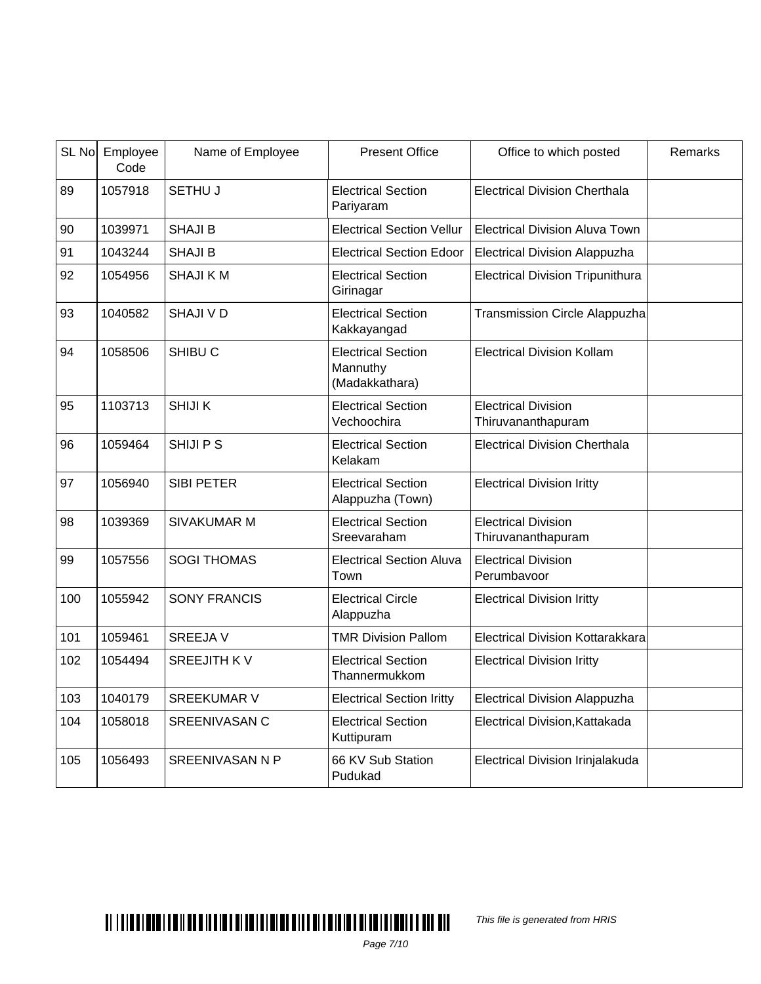|     | SL No Employee<br>Code | Name of Employee       | <b>Present Office</b>                                   | Office to which posted                           | Remarks |
|-----|------------------------|------------------------|---------------------------------------------------------|--------------------------------------------------|---------|
| 89  | 1057918                | <b>SETHU J</b>         | <b>Electrical Section</b><br>Pariyaram                  | <b>Electrical Division Cherthala</b>             |         |
| 90  | 1039971                | <b>SHAJI B</b>         | <b>Electrical Section Vellur</b>                        | <b>Electrical Division Aluva Town</b>            |         |
| 91  | 1043244                | <b>SHAJI B</b>         | <b>Electrical Section Edoor</b>                         | <b>Electrical Division Alappuzha</b>             |         |
| 92  | 1054956                | <b>SHAJIKM</b>         | <b>Electrical Section</b><br>Girinagar                  | <b>Electrical Division Tripunithura</b>          |         |
| 93  | 1040582                | <b>SHAJI V D</b>       | <b>Electrical Section</b><br>Kakkayangad                | <b>Transmission Circle Alappuzha</b>             |         |
| 94  | 1058506                | SHIBU <sub>C</sub>     | <b>Electrical Section</b><br>Mannuthy<br>(Madakkathara) | <b>Electrical Division Kollam</b>                |         |
| 95  | 1103713                | <b>SHIJIK</b>          | <b>Electrical Section</b><br>Vechoochira                | <b>Electrical Division</b><br>Thiruvananthapuram |         |
| 96  | 1059464                | <b>SHIJIPS</b>         | <b>Electrical Section</b><br>Kelakam                    | <b>Electrical Division Cherthala</b>             |         |
| 97  | 1056940                | <b>SIBI PETER</b>      | <b>Electrical Section</b><br>Alappuzha (Town)           | <b>Electrical Division Iritty</b>                |         |
| 98  | 1039369                | <b>SIVAKUMAR M</b>     | <b>Electrical Section</b><br>Sreevaraham                | <b>Electrical Division</b><br>Thiruvananthapuram |         |
| 99  | 1057556                | <b>SOGI THOMAS</b>     | <b>Electrical Section Aluva</b><br>Town                 | <b>Electrical Division</b><br>Perumbavoor        |         |
| 100 | 1055942                | <b>SONY FRANCIS</b>    | <b>Electrical Circle</b><br>Alappuzha                   | <b>Electrical Division Iritty</b>                |         |
| 101 | 1059461                | <b>SREEJAV</b>         | <b>TMR Division Pallom</b>                              | <b>Electrical Division Kottarakkara</b>          |         |
| 102 | 1054494                | <b>SREEJITH KV</b>     | <b>Electrical Section</b><br>Thannermukkom              | <b>Electrical Division Iritty</b>                |         |
| 103 | 1040179                | <b>SREEKUMAR V</b>     | <b>Electrical Section Iritty</b>                        | <b>Electrical Division Alappuzha</b>             |         |
| 104 | 1058018                | <b>SREENIVASAN C</b>   | <b>Electrical Section</b><br>Kuttipuram                 | Electrical Division, Kattakada                   |         |
| 105 | 1056493                | <b>SREENIVASAN N P</b> | 66 KV Sub Station<br>Pudukad                            | Electrical Division Irinjalakuda                 |         |

# $\blacksquare$

This file is generated from HRIS

Page 7/10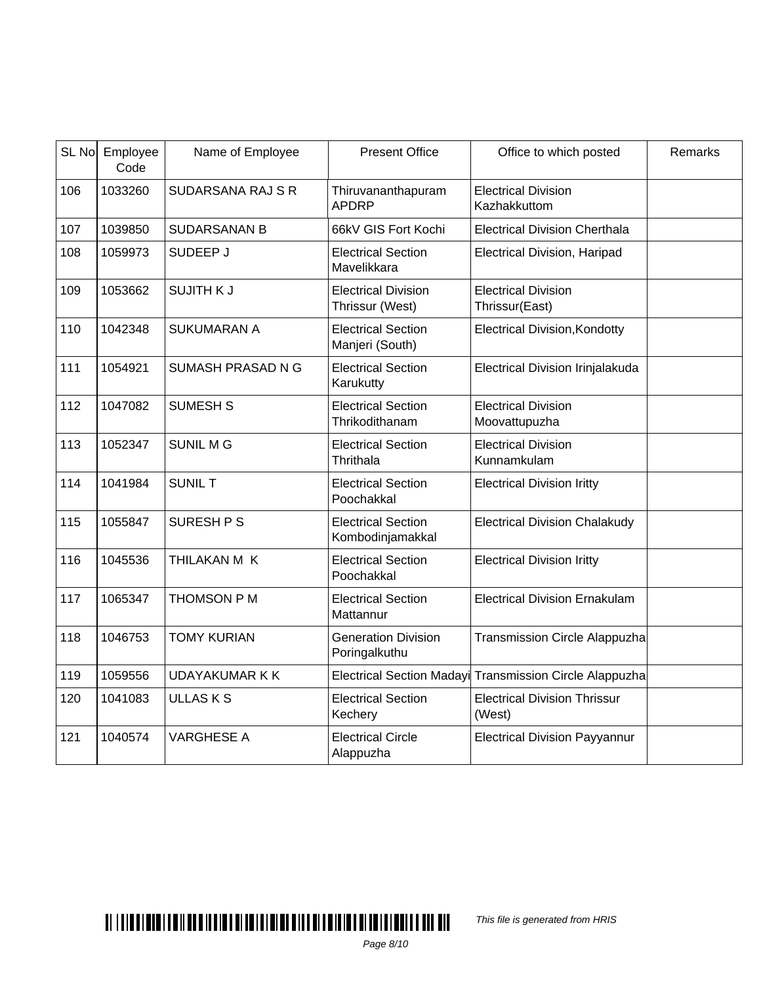| SL No | Employee<br>Code | Name of Employee         | <b>Present Office</b>                         | Office to which posted                                  | Remarks |
|-------|------------------|--------------------------|-----------------------------------------------|---------------------------------------------------------|---------|
| 106   | 1033260          | <b>SUDARSANA RAJ S R</b> | Thiruvananthapuram<br><b>APDRP</b>            | <b>Electrical Division</b><br>Kazhakkuttom              |         |
| 107   | 1039850          | <b>SUDARSANAN B</b>      | 66kV GIS Fort Kochi                           | <b>Electrical Division Cherthala</b>                    |         |
| 108   | 1059973          | SUDEEP J                 | <b>Electrical Section</b><br>Mavelikkara      | <b>Electrical Division, Haripad</b>                     |         |
| 109   | 1053662          | <b>SUJITH KJ</b>         | <b>Electrical Division</b><br>Thrissur (West) | <b>Electrical Division</b><br>Thrissur(East)            |         |
| 110   | 1042348          | <b>SUKUMARAN A</b>       | <b>Electrical Section</b><br>Manjeri (South)  | <b>Electrical Division, Kondotty</b>                    |         |
| 111   | 1054921          | SUMASH PRASAD N G        | <b>Electrical Section</b><br>Karukutty        | Electrical Division Irinjalakuda                        |         |
| 112   | 1047082          | <b>SUMESH S</b>          | <b>Electrical Section</b><br>Thrikodithanam   | <b>Electrical Division</b><br>Moovattupuzha             |         |
| 113   | 1052347          | <b>SUNIL MG</b>          | <b>Electrical Section</b><br>Thrithala        | <b>Electrical Division</b><br>Kunnamkulam               |         |
| 114   | 1041984          | <b>SUNIL T</b>           | <b>Electrical Section</b><br>Poochakkal       | <b>Electrical Division Iritty</b>                       |         |
| 115   | 1055847          | SURESH P S               | <b>Electrical Section</b><br>Kombodinjamakkal | <b>Electrical Division Chalakudy</b>                    |         |
| 116   | 1045536          | THILAKAN M K             | <b>Electrical Section</b><br>Poochakkal       | <b>Electrical Division Iritty</b>                       |         |
| 117   | 1065347          | THOMSON P M              | <b>Electrical Section</b><br>Mattannur        | <b>Electrical Division Ernakulam</b>                    |         |
| 118   | 1046753          | <b>TOMY KURIAN</b>       | <b>Generation Division</b><br>Poringalkuthu   | Transmission Circle Alappuzha                           |         |
| 119   | 1059556          | <b>UDAYAKUMAR K K</b>    |                                               | Electrical Section Madayi Transmission Circle Alappuzha |         |
| 120   | 1041083          | <b>ULLASKS</b>           | <b>Electrical Section</b><br>Kechery          | <b>Electrical Division Thrissur</b><br>(West)           |         |
| 121   | 1040574          | <b>VARGHESE A</b>        | <b>Electrical Circle</b><br>Alappuzha         | <b>Electrical Division Payyannur</b>                    |         |

This file is generated from HRIS

Page 8/10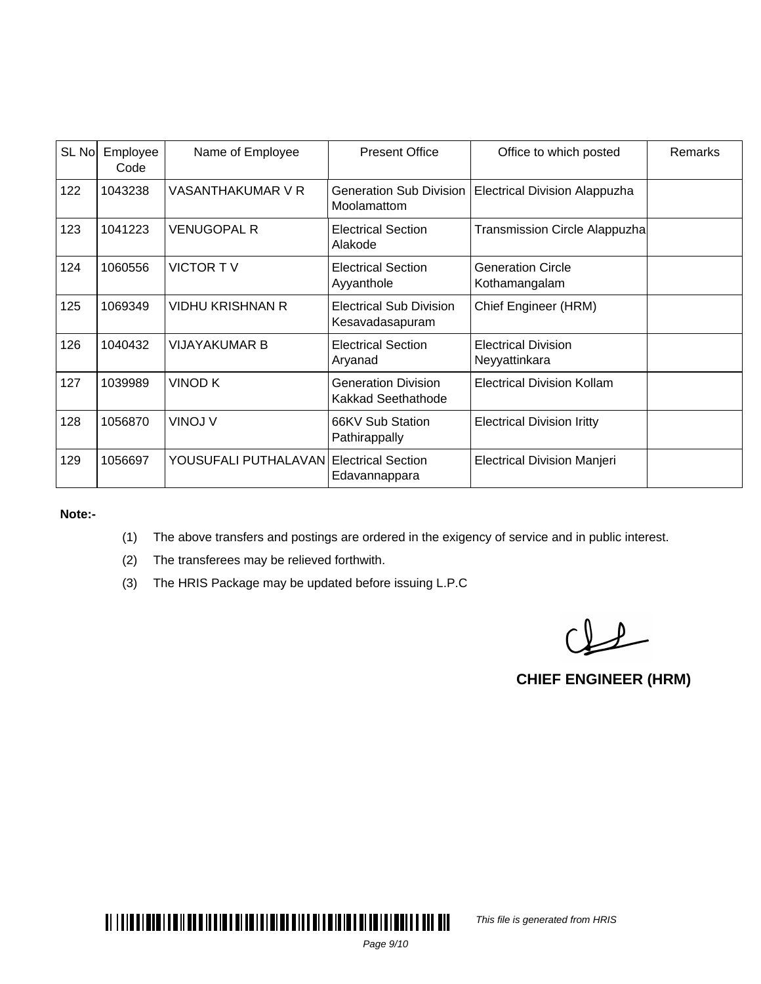| SL No | Employee<br>Code | Name of Employee                        | <b>Present Office</b>                             | Office to which posted                      | Remarks |
|-------|------------------|-----------------------------------------|---------------------------------------------------|---------------------------------------------|---------|
| 122   | 1043238          | VASANTHAKUMAR V R                       | Generation Sub Division<br>Moolamattom            | <b>Electrical Division Alappuzha</b>        |         |
| 123   | 1041223          | <b>VENUGOPAL R</b>                      | <b>Electrical Section</b><br>Alakode              | Transmission Circle Alappuzha               |         |
| 124   | 1060556          | <b>VICTOR TV</b>                        | <b>Electrical Section</b><br>Ayyanthole           | <b>Generation Circle</b><br>Kothamangalam   |         |
| 125   | 1069349          | <b>VIDHU KRISHNAN R</b>                 | <b>Electrical Sub Division</b><br>Kesavadasapuram | Chief Engineer (HRM)                        |         |
| 126   | 1040432          | <b>VIJAYAKUMAR B</b>                    | <b>Electrical Section</b><br>Aryanad              | <b>Electrical Division</b><br>Neyyattinkara |         |
| 127   | 1039989          | <b>VINOD K</b>                          | <b>Generation Division</b><br>Kakkad Seethathode  | <b>Electrical Division Kollam</b>           |         |
| 128   | 1056870          | VINOJ V                                 | 66KV Sub Station<br>Pathirappally                 | <b>Electrical Division Iritty</b>           |         |
| 129   | 1056697          | YOUSUFALI PUTHALAVAN Electrical Section | Edavannappara                                     | <b>Electrical Division Manjeri</b>          |         |

**Note:-**

- (1) The above transfers and postings are ordered in the exigency of service and in public interest.
- (2) The transferees may be relieved forthwith.
- (3) The HRIS Package may be updated before issuing L.P.C

 $Q_{\text{eff}}$ 

**CHIEF ENGINEER (HRM)**